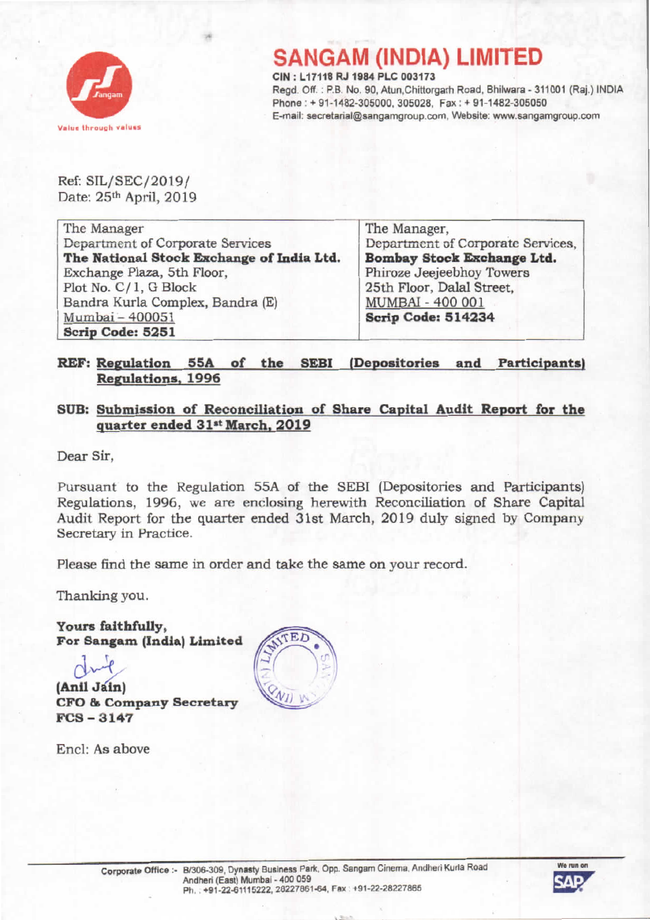

## **SANGAM (INDIA) LIMITED**

CIN : L17118 RJ 1984 PLC 003173 Regd. Off. : P.B. No. 90, Atun,Chittorgarh Road, Bhilwara - 311001 (Raj.) INDIA Phone: + 91·1482·305000, 305028, Fax: + 91-1482·305050 E-mail: secretarial@sangamgroup.com, Website: www.sangamgroup.com

Ref: SIL/SEC/2019/ Date: 25<sup>th</sup> April, 2019

The Manager Department of Corporate Services The National Stook Exohange of India Ltd. Exchange Plaza, 5th Floor, Plot No. C/ 1, G Block Sandra Kurla Complex, Bandra (E) Mumbai- 400051 Scrip Code: 5251

The Manager, Department of Corporate Services, Bombay Stock Exchange Ltd. Phiroze Jeejeebhoy Towers 25th Floor. Dalal Street, MUMBAI - 400 001 Scrip Code: 514234

## REF: Regulation 55A of the SEBI (Depositories and Participants) Regulations. 1996

## SUB: Submission of Reconciliation of Share Capital Audit Report for the quarter ended 31st March. 2019

Dear Sir,

Pursuant to the Regulation 55A of the SEBI (Depositories and Participants) Regulations, 1996, we are enclosing herewith Reconciliation of Share Capital Audit Report for the quarter ended 31st March, 2019 duly signed by Company Secretary in Practice.

Please find the same in order and take the same on your record.

Thanking you.

Yours faithfully, For Sangam (India) Limited

d~ (Anil Jain) CFO & Company Secretary FCS - 3147

End: As above



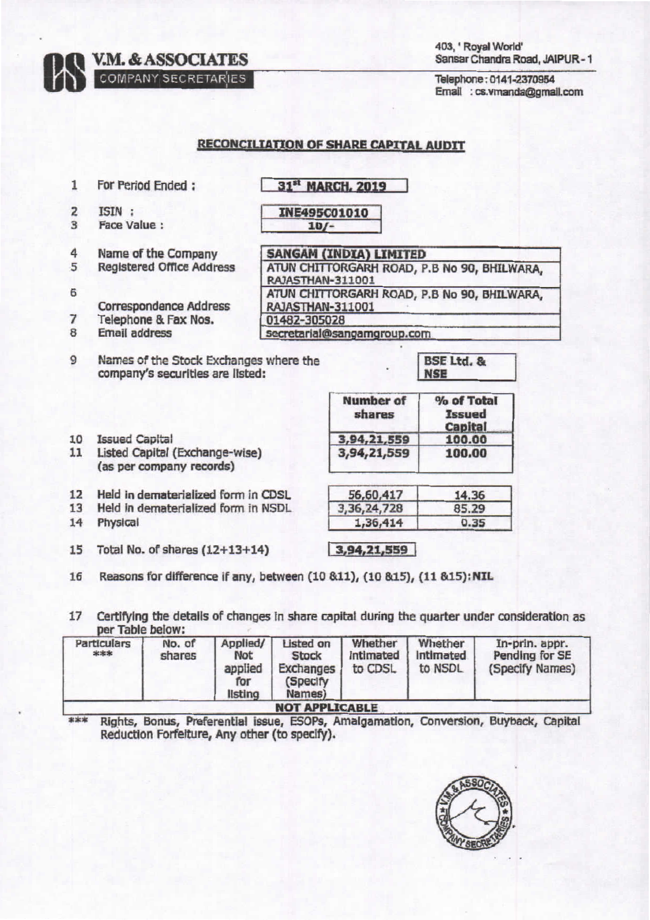**V.M. & ASSOCIATES** 

COMPANY SECRETARIES

Telephone: 0141-2370954 Email: cs.vmanda@gmail.com

## **RECONCILIATION OF SHARE CAPITAL AUDIT**

- $\mathbf{1}$ For Period Ended: **31st MARCH, 2019**  $\overline{2}$ ISIN : INE495C01010 3 Face Value:  $10/-$ 4 Name of the Company **SANGAM (INDIA) LIMITED** 5 **Registered Office Address** ATUN CHITTORGARH ROAD, P.B No 90, BHILWARA, RAJASTHAN-311001 6 ATUN CHITTORGARH ROAD, P.B No 90, BHILWARA. **Correspondence Address** RAJASTHAN-311001  $\overline{7}$ Telephone & Fax Nos. 01482-305028 8 **Email address** secretarial@sangamgroup.com 9 Names of the Stock Exchanges where the **BSE Ltd. &** company's securities are listed: **NSE Number of** % of Total shares **Issued Capital** 10 Issued Capital 3.94.21.559 100.00 11 Listed Capital (Exchange-wise) 3,94,21,559 100.00 (as per company records) Held in dematerialized form in CDSL  $12$ 56,60,417 14.36 13 Held in dematerialized form in NSDL 3,36,24,728 85.29  $14$ Physical  $0.35$ 1,36,414 15 Total No. of shares (12+13+14)  $3,94,21,559$ Reasons for difference if any, between (10 &11), (10 &15), (11 &15): NIL 16
- Certifying the details of changes in share capital during the quarter under consideration as 17 per Table below:

| Particulars<br>*** | No. of<br>shares | Applied/<br><b>Not</b><br>applied<br>for<br>listing | <b>Listed on</b><br><b>Stock</b><br>Exchanges<br>(Specify)<br>Names) | Whether<br>intimated<br>to CDSL | Whether<br>Intimated<br>to NSDL | In-prin. appr.<br>Pending for SE<br>(Specify Names) |
|--------------------|------------------|-----------------------------------------------------|----------------------------------------------------------------------|---------------------------------|---------------------------------|-----------------------------------------------------|
|                    |                  |                                                     | <b>NOT APPLICABLE</b>                                                |                                 |                                 |                                                     |

\*\*\* Rights, Bonus, Preferential issue, ESOPs, Amalgamation, Conversion, Buyback, Capital Reduction Forfeiture, Any other (to specify).